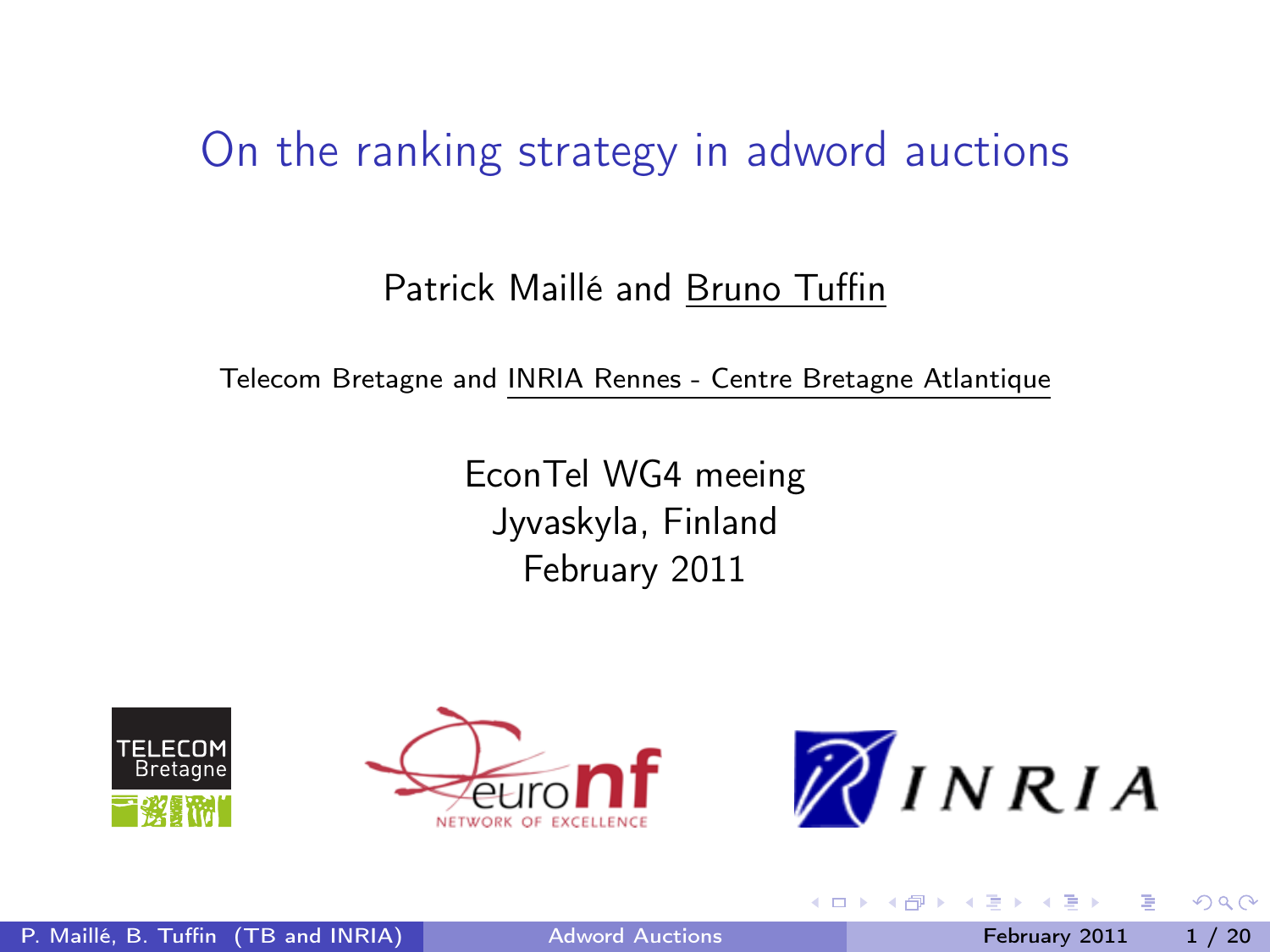### On the ranking strategy in adword auctions

#### Patrick Maillé and Bruno Tuffin

Telecom Bretagne and INRIA Rennes - Centre Bretagne Atlantique

EconTel WG4 meeing Jyvaskyla, Finland February 2011





<span id="page-0-0"></span>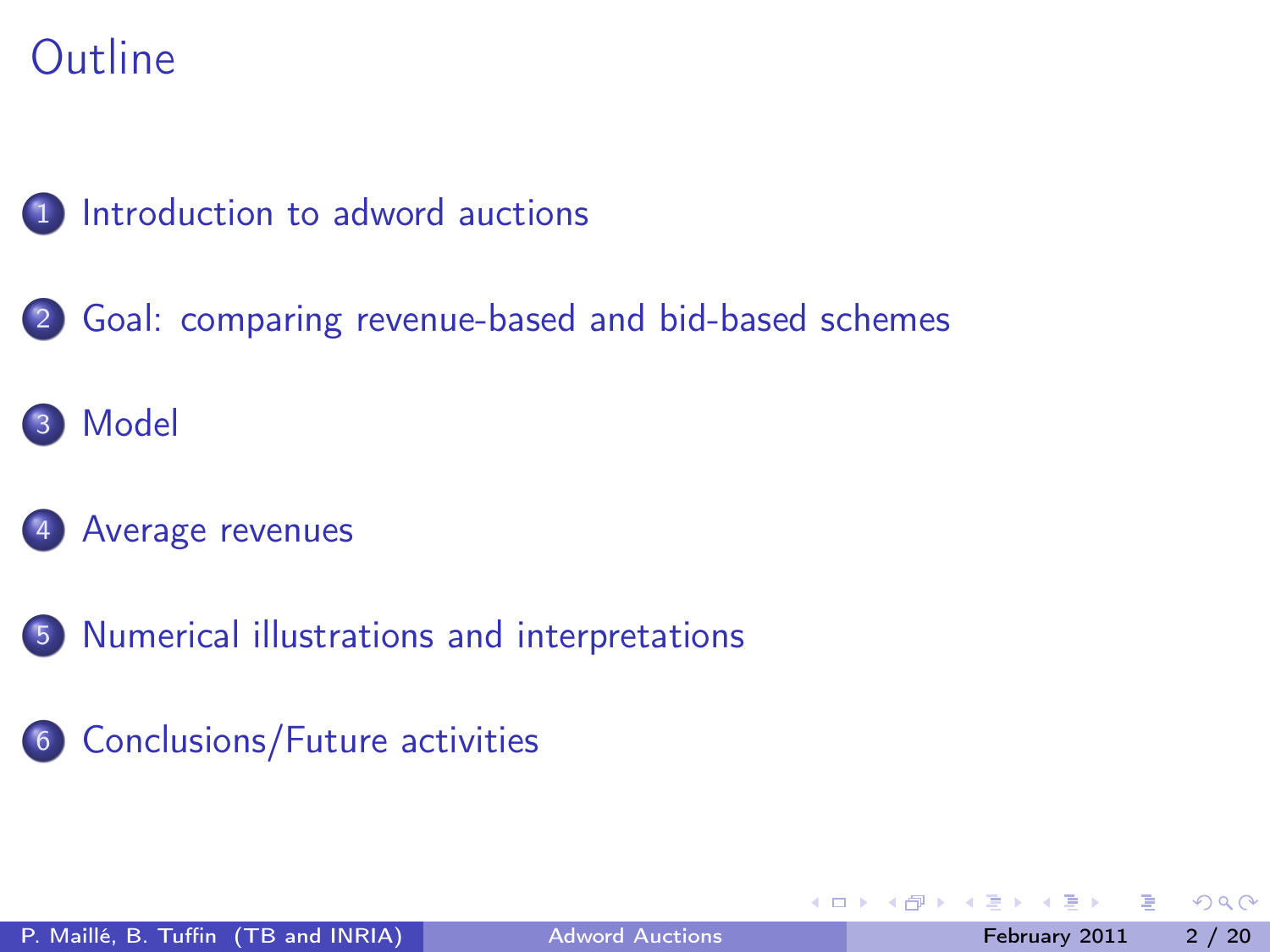### 1 [Introduction to adword auctions](#page-2-0)

- 2 [Goal: comparing revenue-based and bid-based schemes](#page-5-0)
- 3 [Model](#page-7-0)

#### [Average revenues](#page-10-0)

- 5 [Numerical illustrations and interpretations](#page-12-0)
- 6 [Conclusions/Future activities](#page-18-0)

4 0 8

 $QQ$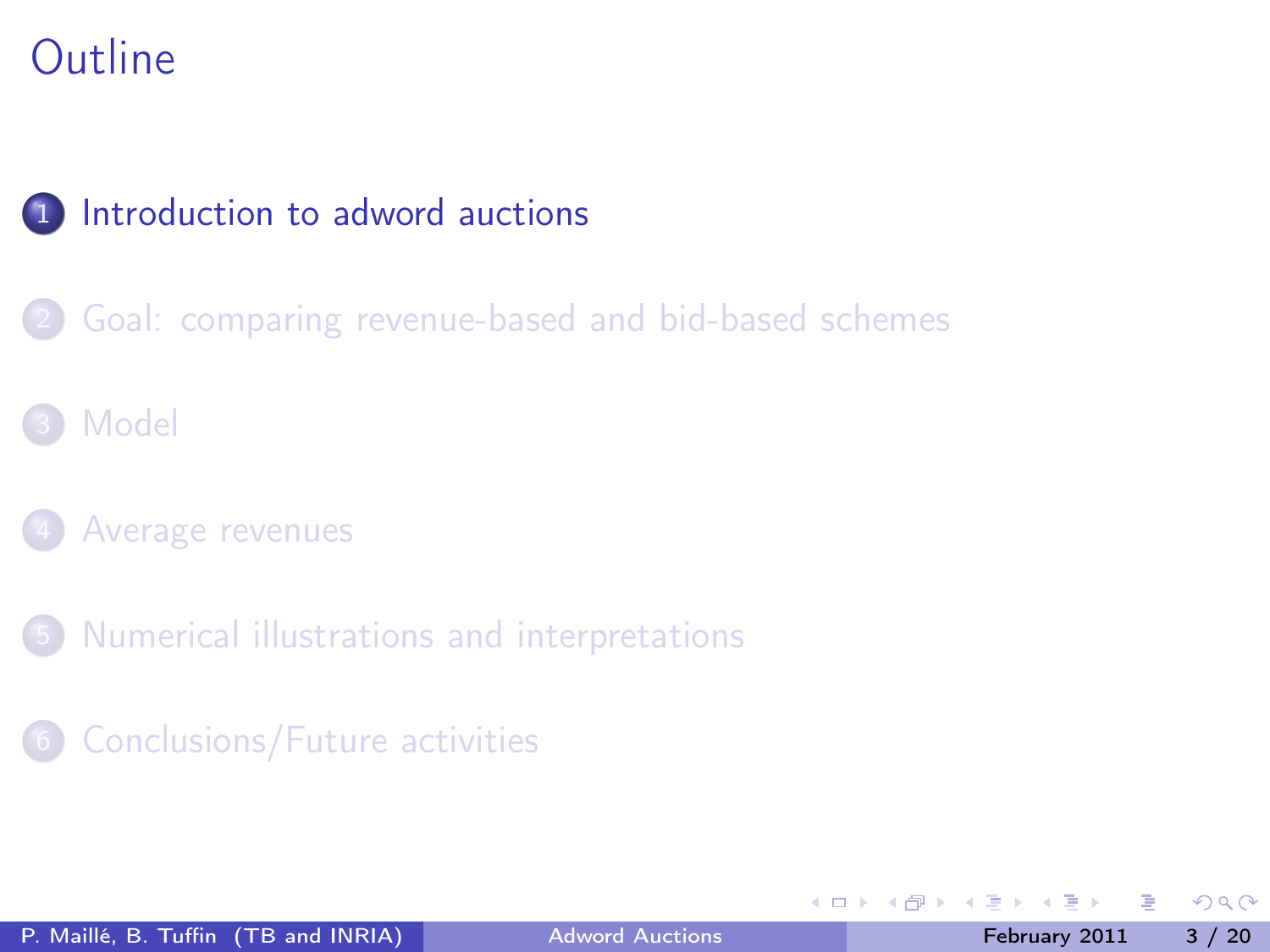### 1 [Introduction to adword auctions](#page-2-0)

[Goal: comparing revenue-based and bid-based schemes](#page-5-0)

#### **[Model](#page-7-0)**

- [Average revenues](#page-10-0)
- 5 [Numerical illustrations and interpretations](#page-12-0)
- 6 [Conclusions/Future activities](#page-18-0)

<span id="page-2-0"></span>4 D F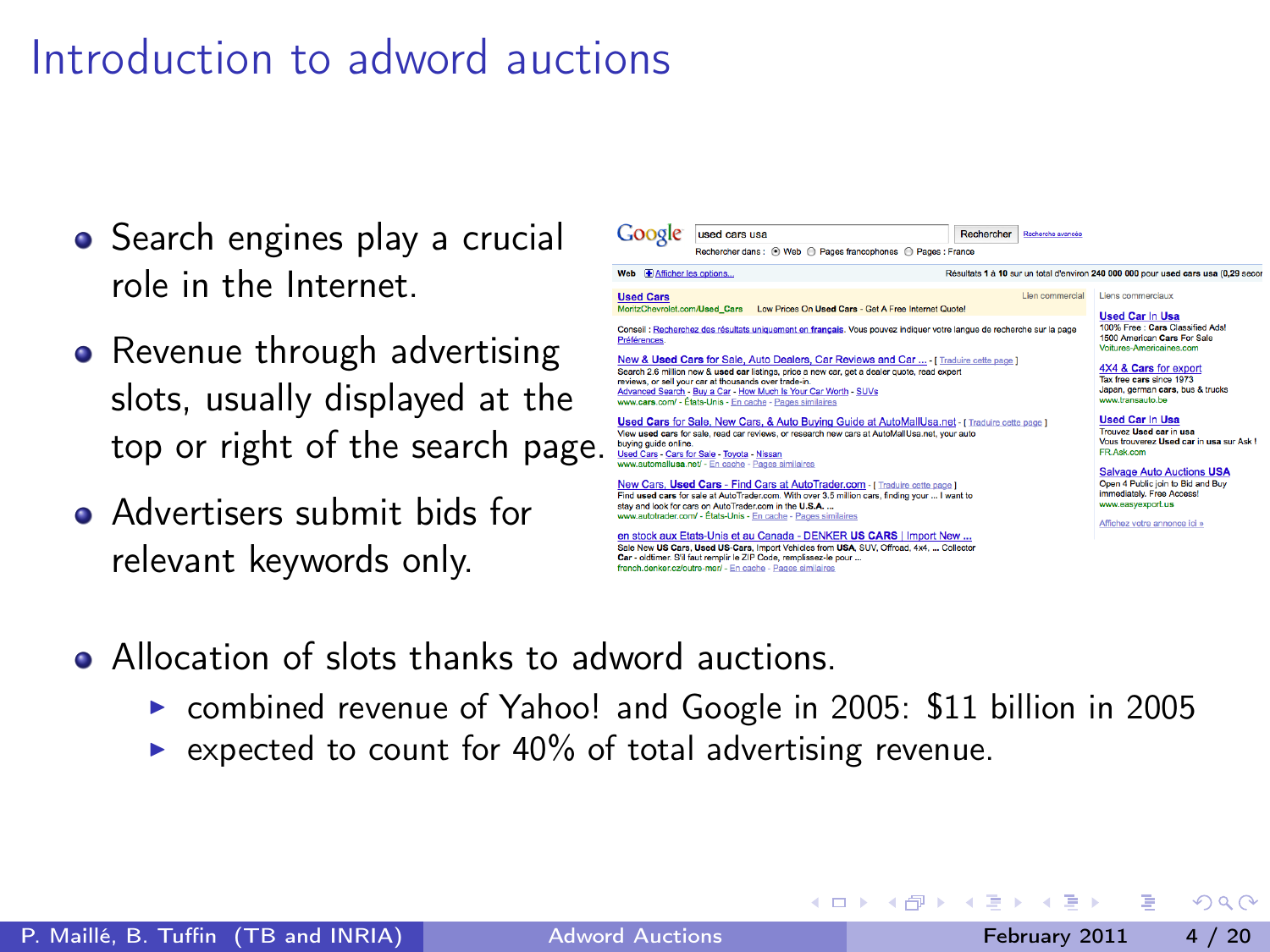## Introduction to adword auctions

- Search engines play a crucial role in the Internet.
- Revenue through advertising slots, usually displayed at the top or right of the search page.
- **Advertisers submit bids for** relevant keywords only.



イロト イ母ト イヨト イヨト

- Allocation of slots thanks to adword auctions.
	- ▶ combined revenue of Yahoo! and Google in 2005: \$11 billion in 2005

Car - oldtimer. S'il faut remplir le ZIP Code, remplissez-le pour ... french denker człoutre-mer/ - En cache - Pages similaires

 $\triangleright$  expected to count for 40% of total advertising revenue.

 $200$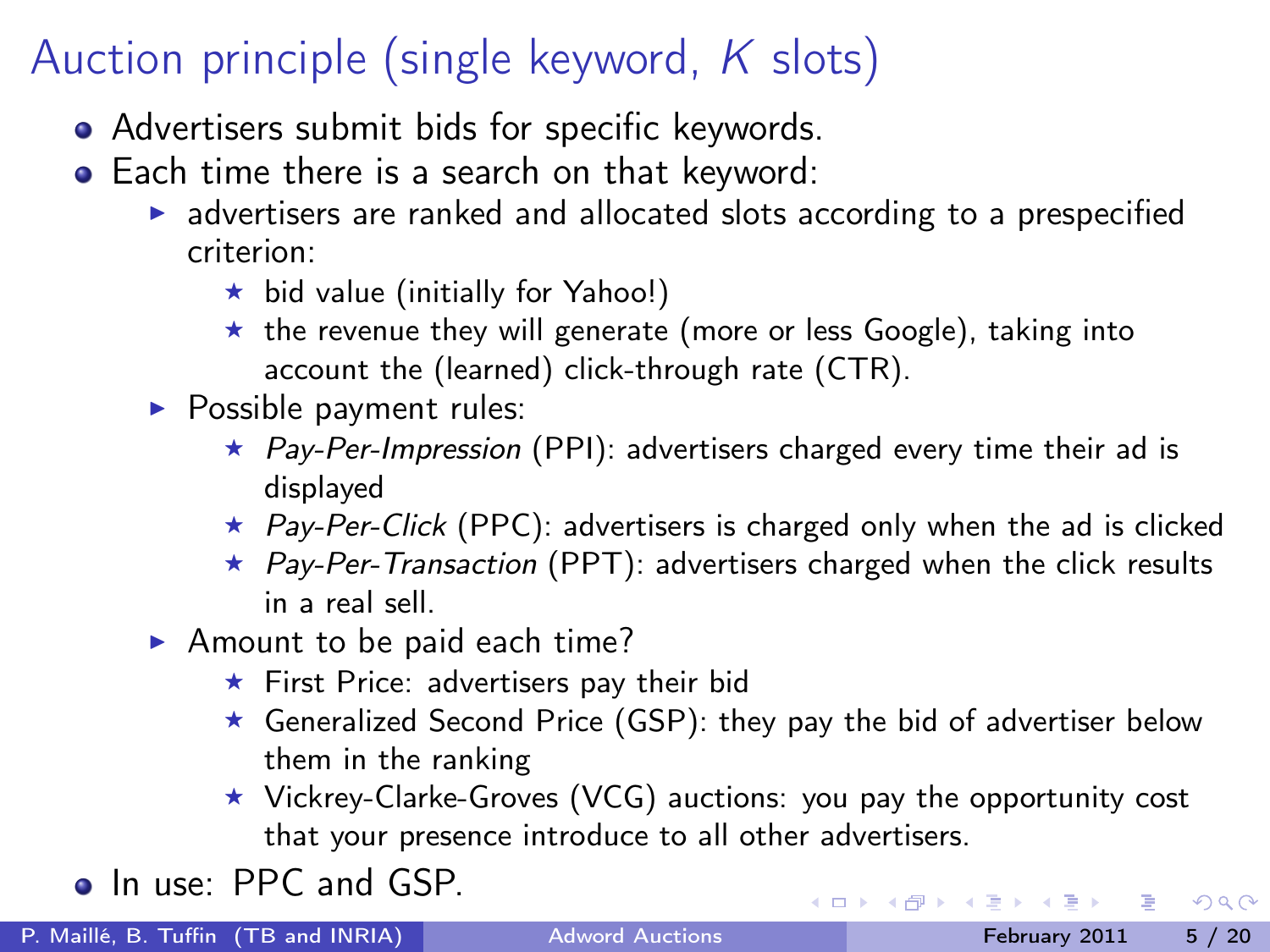# Auction principle (single keyword, K slots)

- Advertisers submit bids for specific keywords.
- Each time there is a search on that keyword:
	- $\triangleright$  advertisers are ranked and allocated slots according to a prespecified criterion:
		- $\star$  bid value (initially for Yahoo!)
		- $\star$  the revenue they will generate (more or less Google), taking into account the (learned) click-through rate (CTR).
	- $\blacktriangleright$  Possible payment rules:
		- $\star$  Pay-Per-Impression (PPI): advertisers charged every time their ad is displayed
		- $\star$  Pay-Per-Click (PPC): advertisers is charged only when the ad is clicked
		- $\star$  Pay-Per-Transaction (PPT): advertisers charged when the click results in a real sell.
	- Amount to be paid each time?
		- $\star$  First Price: advertisers pay their bid
		- $\star$  Generalized Second Price (GSP): they pay the bid of advertiser below them in the ranking
		- $\star$  Vickrey-Clarke-Groves (VCG) auctions: you pay the opportunity cost that your presence introduce to all other advertisers.

• In use: PPC and GSP.

- 3

イロト イ押ト イヨト イヨト

 $QQ$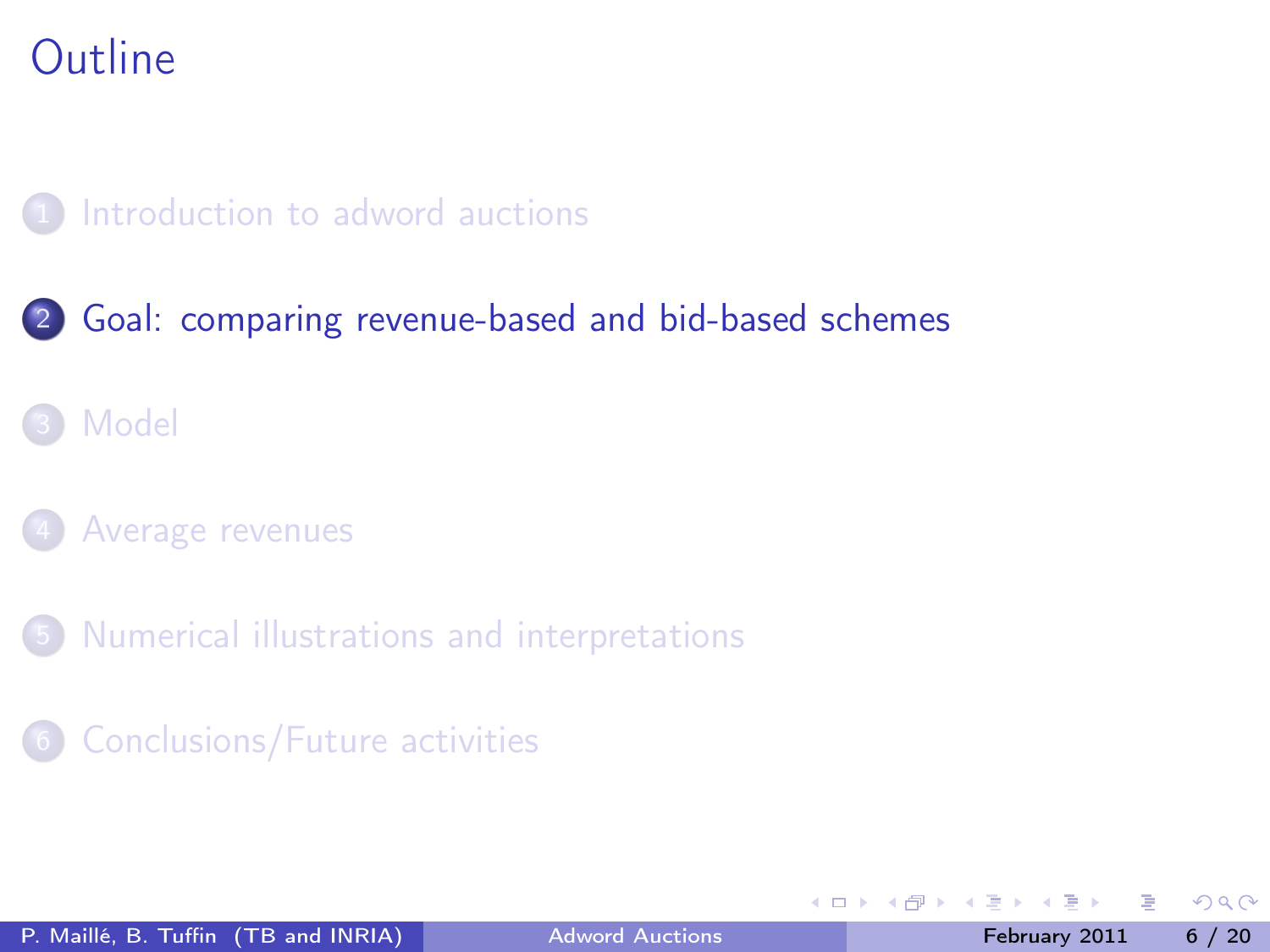#### [Introduction to adword auctions](#page-2-0)

#### 2 [Goal: comparing revenue-based and bid-based schemes](#page-5-0)

### **[Model](#page-7-0)**

#### [Average revenues](#page-10-0)

5 [Numerical illustrations and interpretations](#page-12-0)

#### 6 [Conclusions/Future activities](#page-18-0)

<span id="page-5-0"></span>4 D F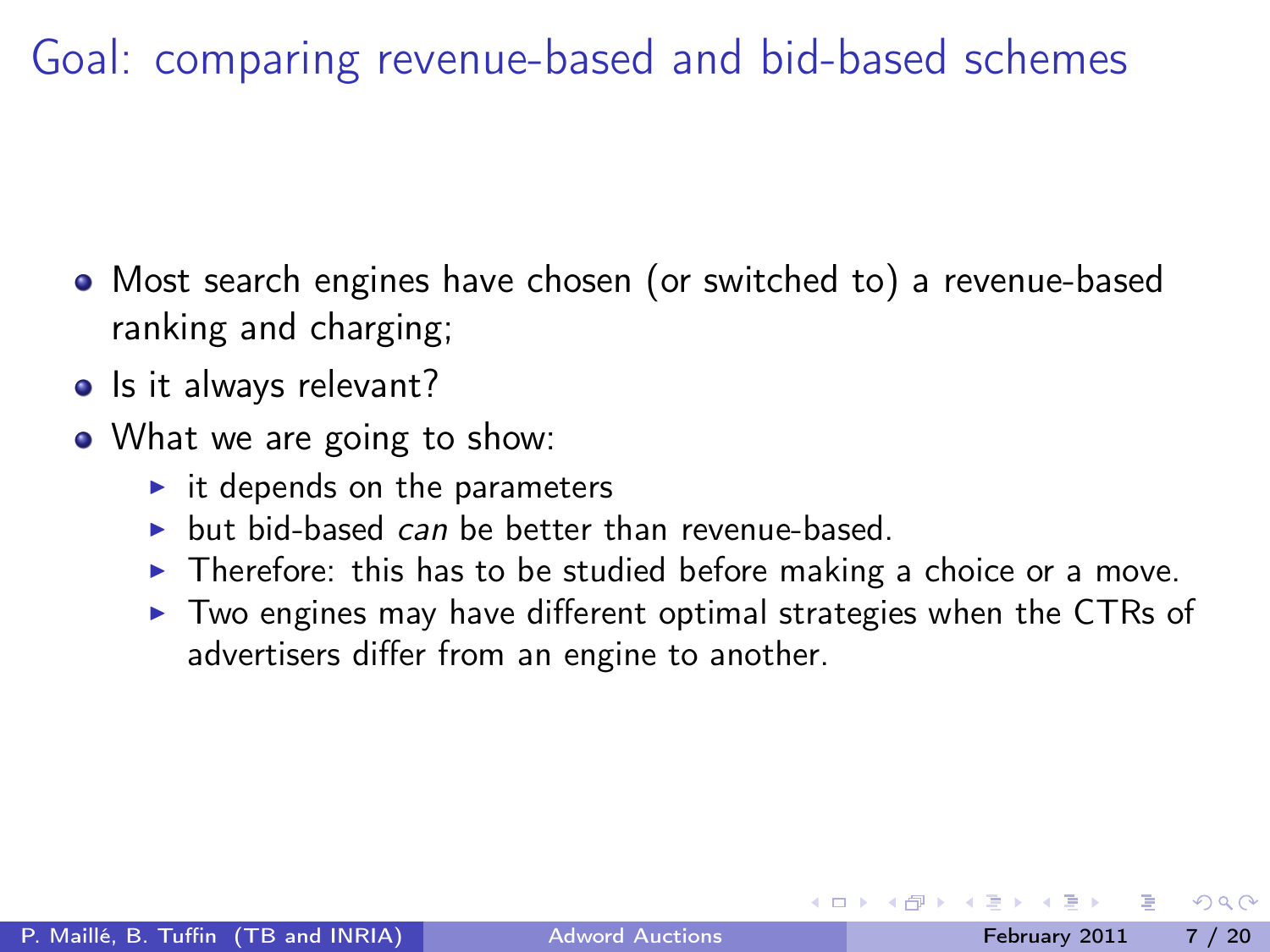Goal: comparing revenue-based and bid-based schemes

- Most search engines have chosen (or switched to) a revenue-based ranking and charging;
- Is it always relevant?
- What we are going to show:
	- $\blacktriangleright$  it depends on the parameters
	- $\triangleright$  but bid-based can be better than revenue-based.
	- $\triangleright$  Therefore: this has to be studied before making a choice or a move.
	- $\triangleright$  Two engines may have different optimal strategies when the CTRs of advertisers differ from an engine to another.

 $200$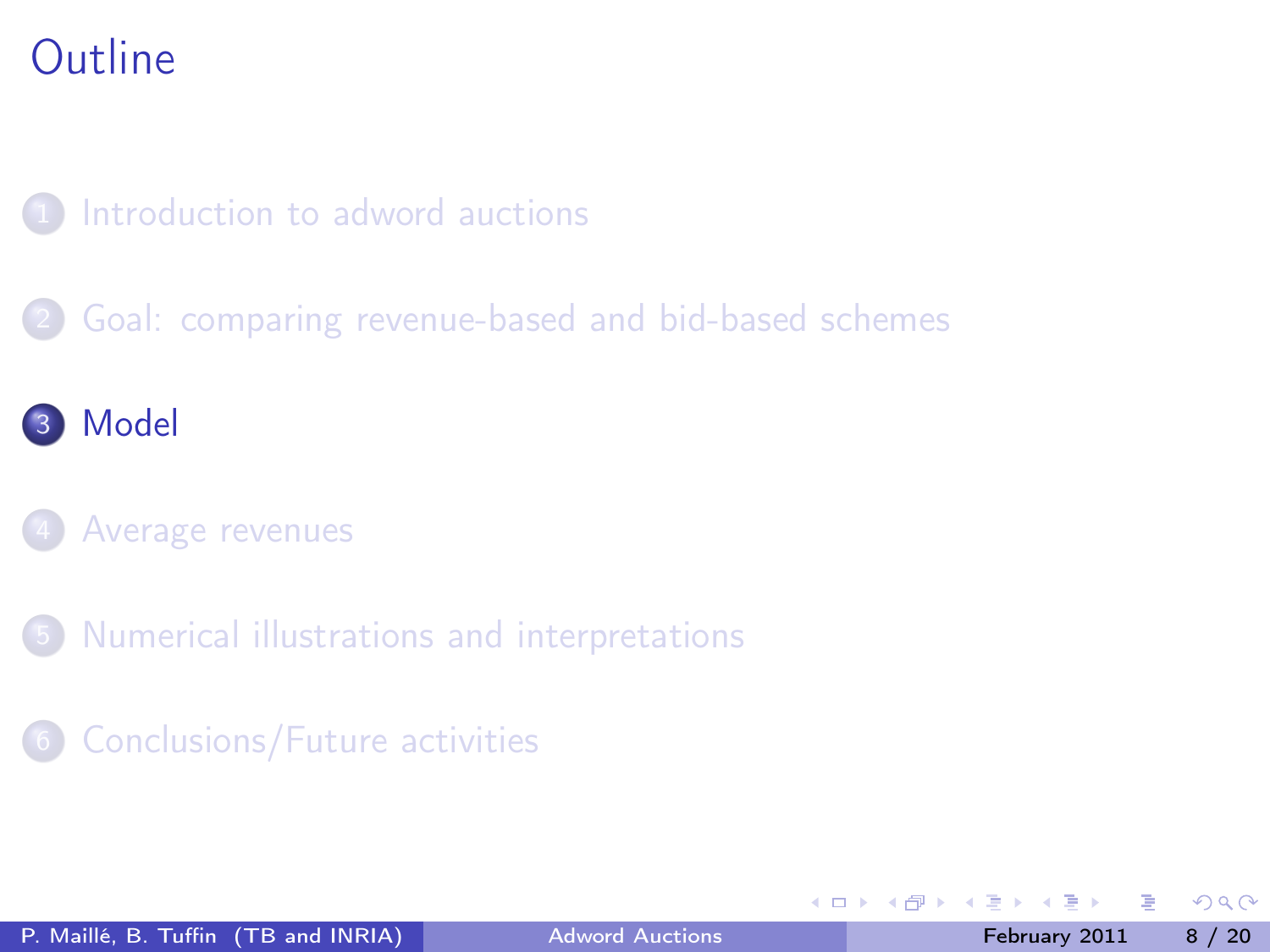### [Introduction to adword auctions](#page-2-0)

[Goal: comparing revenue-based and bid-based schemes](#page-5-0)

### 3 [Model](#page-7-0)

#### [Average revenues](#page-10-0)

- 5 [Numerical illustrations and interpretations](#page-12-0)
- 6 [Conclusions/Future activities](#page-18-0)

<span id="page-7-0"></span>4 D F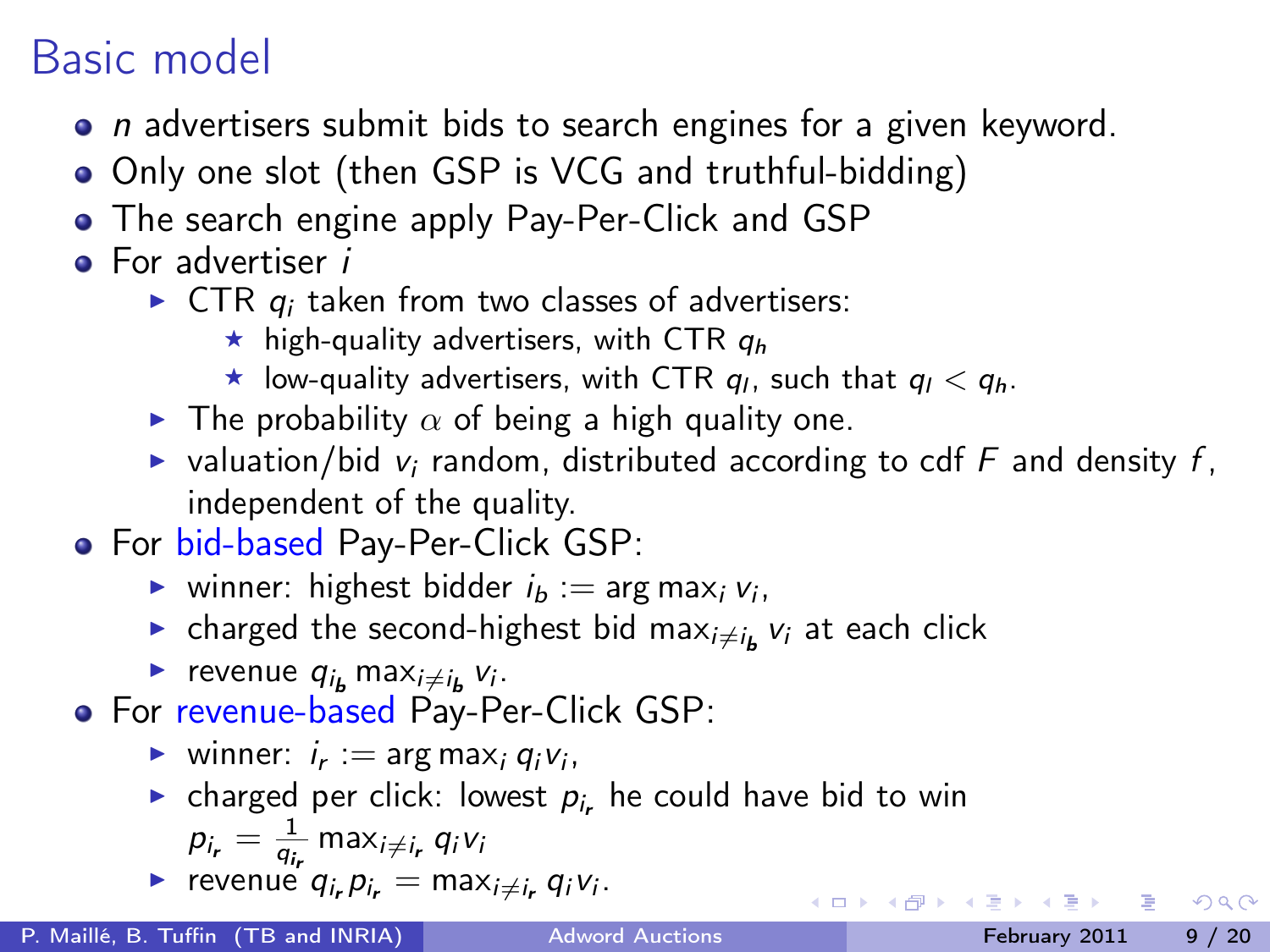## Basic model

- *n* advertisers submit bids to search engines for a given keyword.
- Only one slot (then GSP is VCG and truthful-bidding)
- The search engine apply Pay-Per-Click and GSP
- **•** For advertiser *i* 
	- $\triangleright$  CTR  $q_i$  taken from two classes of advertisers:
		- $\star$  high-quality advertisers, with CTR  $q_h$
		- $\star$  low-quality advertisers, with CTR  $q_l$ , such that  $q_l < q_h$ .
	- **Fig.** The probability  $\alpha$  of being a high quality one.
	- $\triangleright$  valuation/bid v<sub>i</sub> random, distributed according to cdf F and density f, independent of the quality.
- For bid-based Pay-Per-Click GSP:
	- ighthrow winner: highest bidder  $i_b := \arg \max_i v_i$ ,
	- $\blacktriangleright$  charged the second-highest bid max $_{i\neq i_{\mathbf{b}}}$   $_{\mathbf{v}_{i}}$  at each click
	- revenue  $q_{i_b}$  max $_{i\neq i_b}$   $v_i$ .
- For revenue-based Pay-Per-Click GSP:
	- vinner:  $i_r := \arg \max_i q_i v_i$ ,
	- ightharpoontanal narrow charged per click: lowest  $p_i$ , he could have bid to win  $p_{i_r} = \frac{1}{q_{i_r}}$  max $_{i \neq i_r}$   $q_i$ v $_i$
	- revenue  $q_{i_r} p_{i_r} = \max_{i \neq i_r} q_i v_i$ .

 $QQQ$ 

**K ロ ト K 何 ト K ヨ ト K**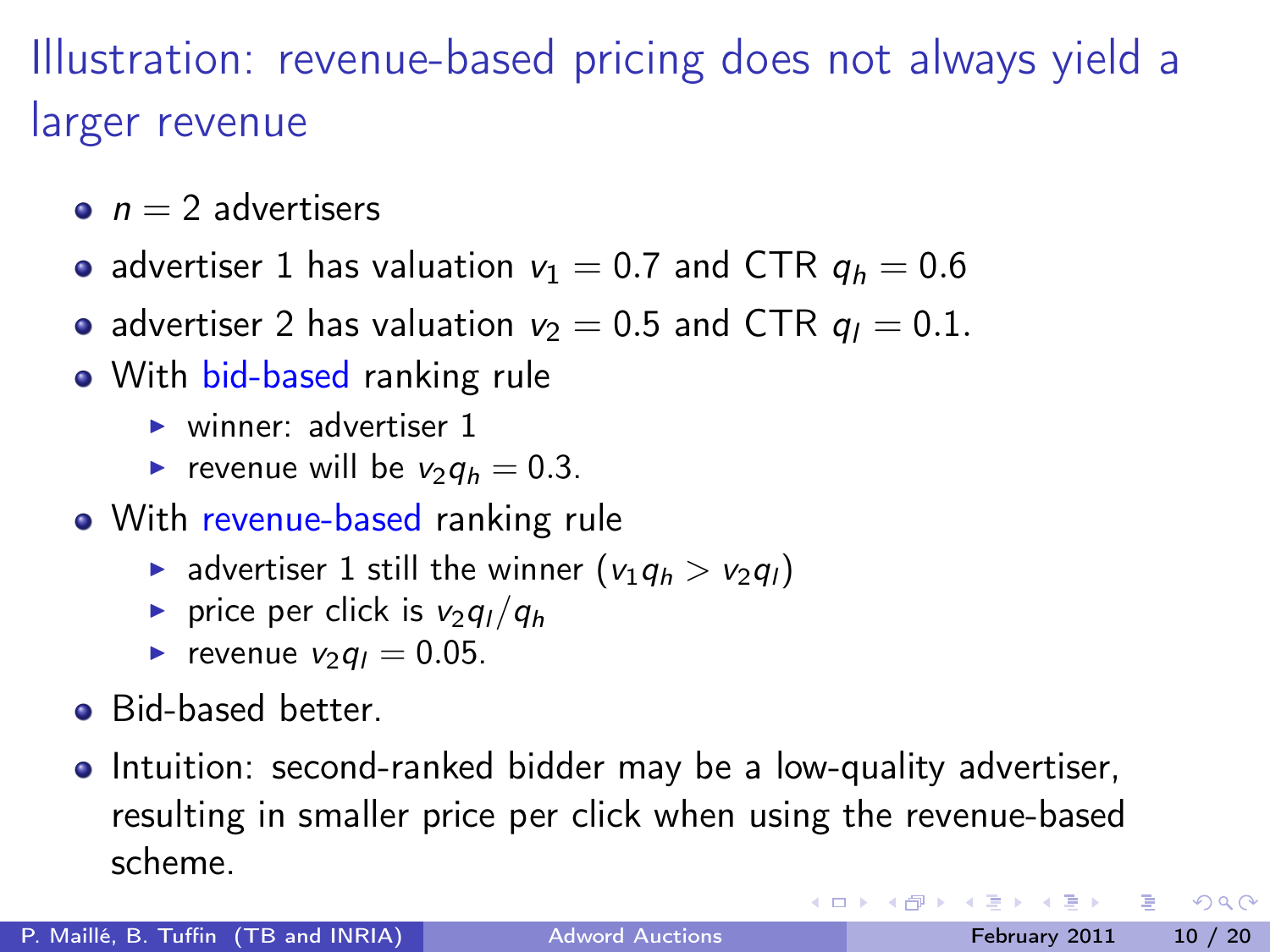# Illustration: revenue-based pricing does not always yield a larger revenue

- $n = 2$  advertisers
- advertiser 1 has valuation  $v_1 = 0.7$  and CTR  $q_h = 0.6$
- advertiser 2 has valuation  $v_2 = 0.5$  and CTR  $q_1 = 0.1$ .
- With bid-based ranking rule
	- $\blacktriangleright$  winner: advertiser 1
	- revenue will be  $v_2q_h = 0.3$ .
- With revenue-based ranking rule
	- advertiser 1 still the winner  $(v_1q_h > v_2q_l)$
	- **P** price per click is  $v_2q_1/q_h$
	- revenue  $v_2q_1 = 0.05$ .
- **•** Bid-based better.
- Intuition: second-ranked bidder may be a low-quality advertiser, resulting in smaller price per click when using the revenue-based scheme.

 $200$ 

( ロ ) ( 何 ) ( ヨ ) ( ヨ )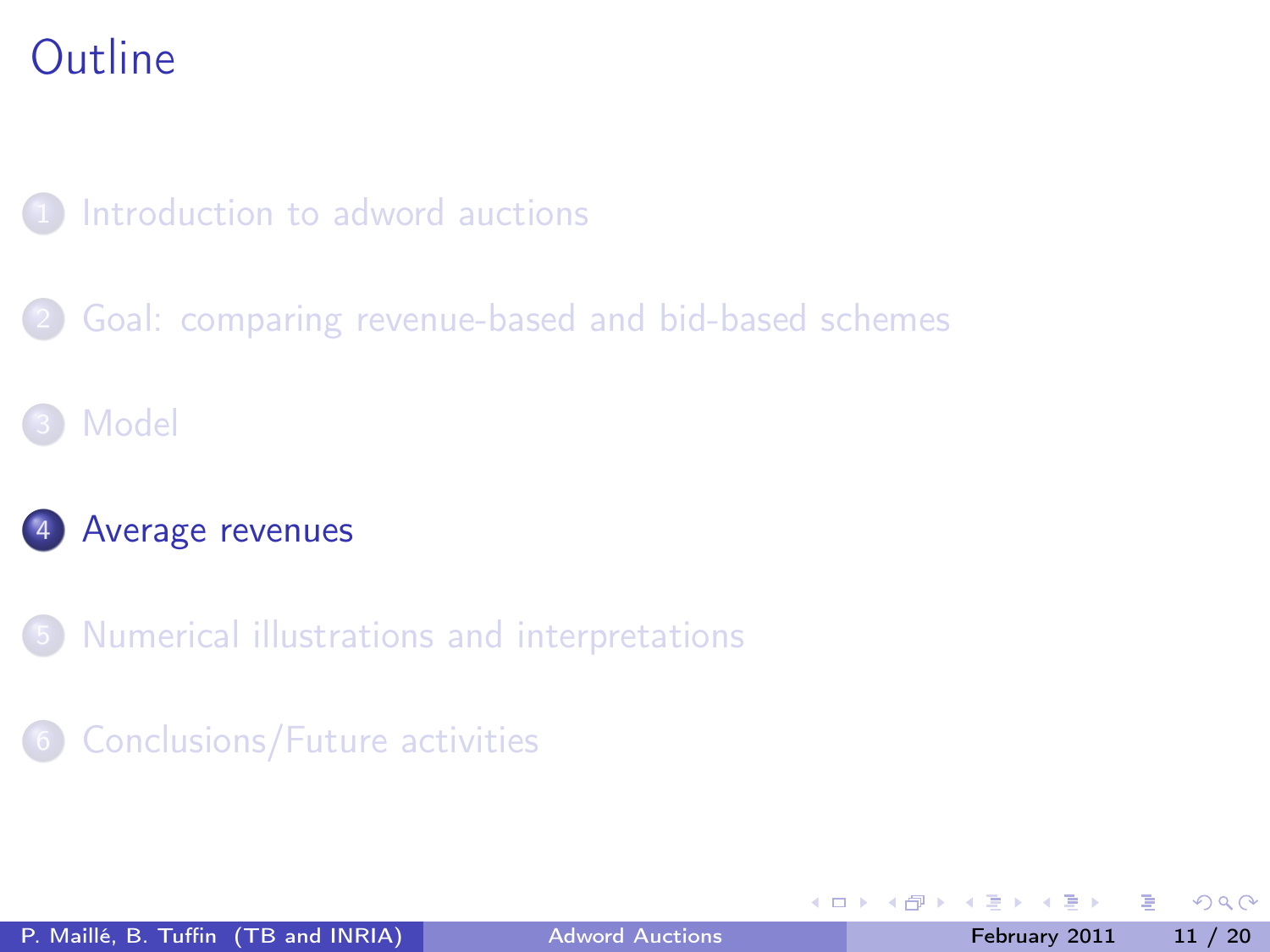### [Introduction to adword auctions](#page-2-0)

[Goal: comparing revenue-based and bid-based schemes](#page-5-0)

### **[Model](#page-7-0)**

#### [Average revenues](#page-10-0)

5 [Numerical illustrations and interpretations](#page-12-0)

#### 6 [Conclusions/Future activities](#page-18-0)

4 0 8

← ●

<span id="page-10-0"></span> $\Omega$ 

 $\sim$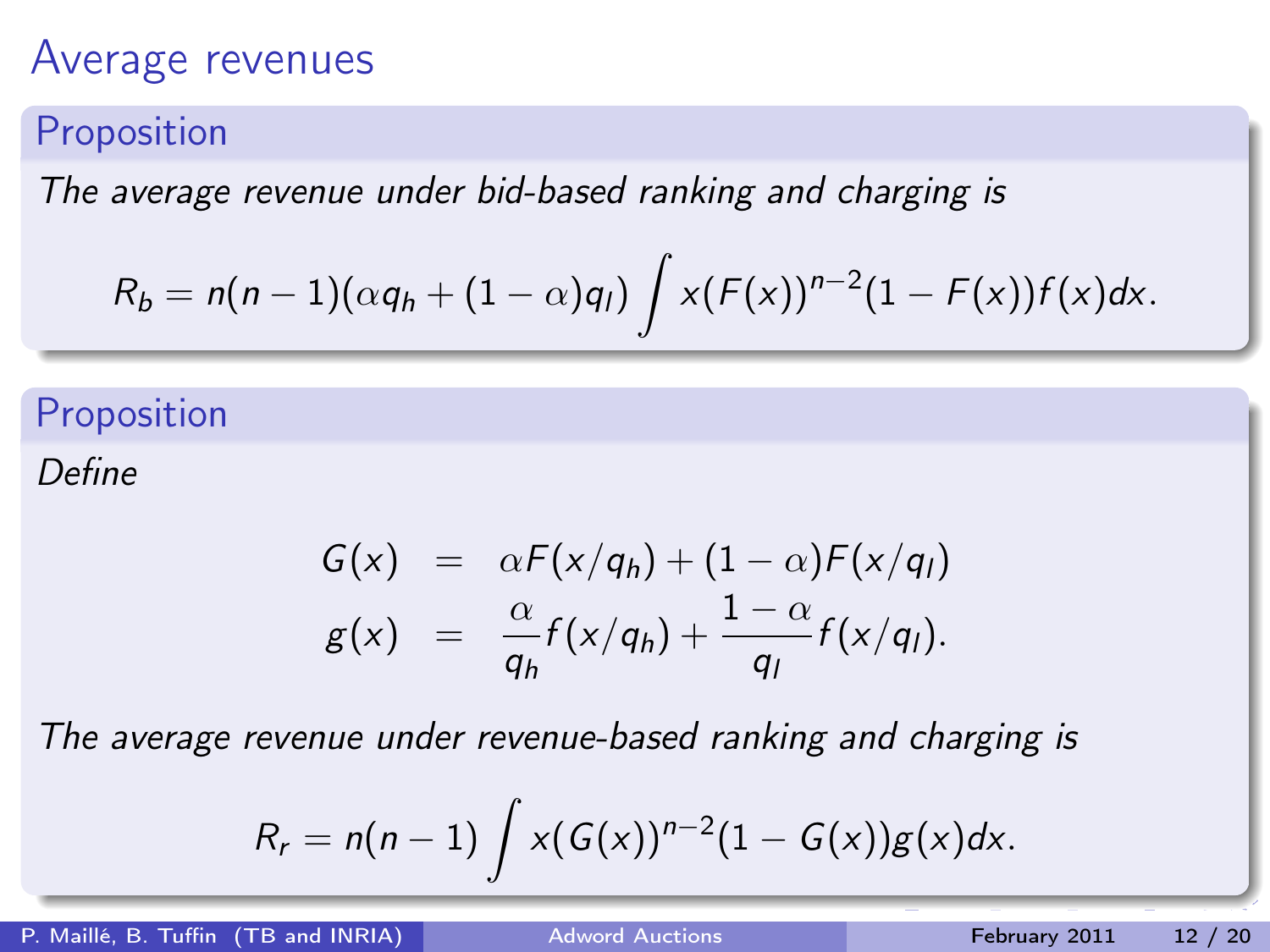### Average revenues

#### Proposition

The average revenue under bid-based ranking and charging is

$$
R_b=n(n-1)(\alpha q_h+(1-\alpha)q_l)\int x(F(x))^{n-2}(1-F(x))f(x)dx.
$$

### Proposition

Define

$$
G(x) = \alpha F(x/q_h) + (1-\alpha)F(x/q_l)
$$
  

$$
g(x) = \frac{\alpha}{q_h}f(x/q_h) + \frac{1-\alpha}{q_l}f(x/q_l).
$$

The average revenue under revenue-based ranking and charging is

<span id="page-11-0"></span>
$$
R_r=n(n-1)\int x(G(x))^{n-2}(1-G(x))g(x)dx.
$$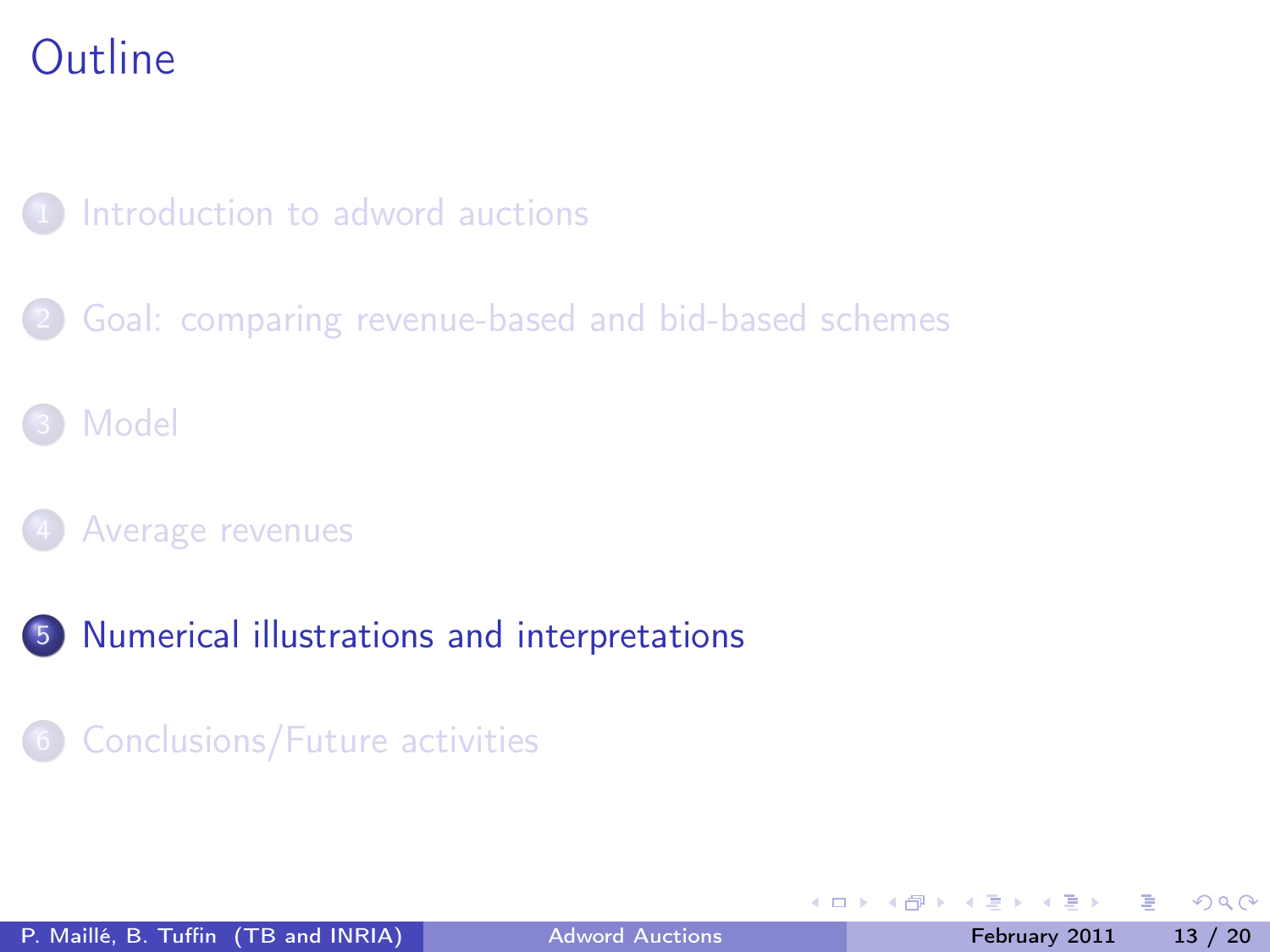### [Introduction to adword auctions](#page-2-0)

- [Goal: comparing revenue-based and bid-based schemes](#page-5-0)
- **[Model](#page-7-0)**
- [Average revenues](#page-10-0)
- 5 [Numerical illustrations and interpretations](#page-12-0)
	- 6 [Conclusions/Future activities](#page-18-0)

<span id="page-12-0"></span> $\Omega$ 

 $\sim$ 

4 D F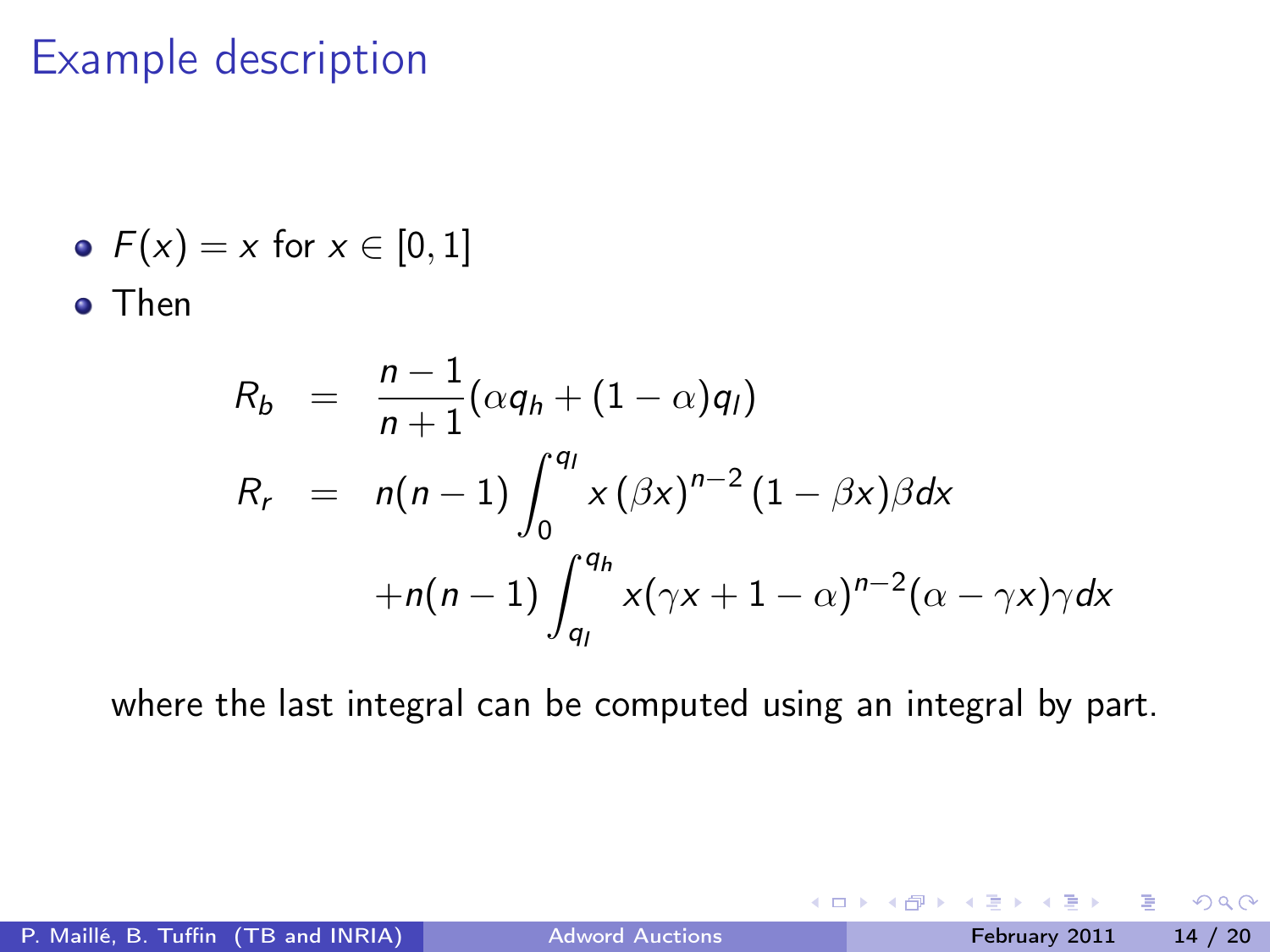### Example description

• 
$$
F(x) = x
$$
 for  $x \in [0, 1]$ 

o Then

$$
R_b = \frac{n-1}{n+1} (\alpha q_h + (1-\alpha) q_l)
$$
  
\n
$$
R_r = n(n-1) \int_0^{q_l} x (\beta x)^{n-2} (1-\beta x) \beta dx
$$
  
\n
$$
+ n(n-1) \int_{q_l}^{q_h} x (\gamma x + 1 - \alpha)^{n-2} (\alpha - \gamma x) \gamma dx
$$

where the last integral can be computed using an integral by part.

4 0 8

●▶

э

 $QQ$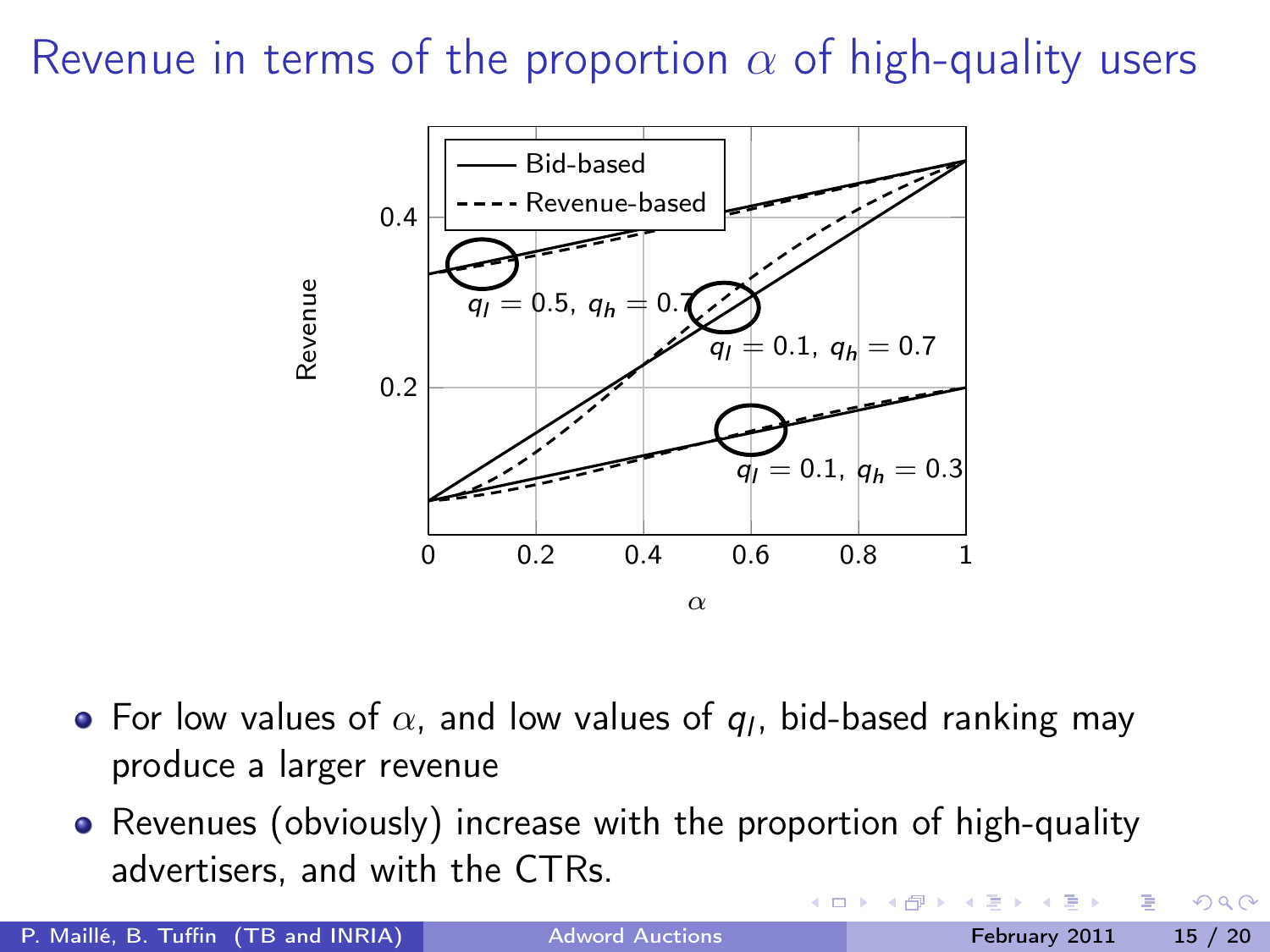Revenue in terms of the proportion  $\alpha$  of high-quality users



- For low values of  $\alpha$ , and low values of  $\boldsymbol{q}_l$ , bid-based ranking may produce a larger revenue
- Revenues (obviously) increase with the proportion of high-quality advertisers, and with the CTRs.

P. Maillé, B. Tuffin (TB and INRIA) [Adword Auctions](#page-0-0) February 2011 15 / 20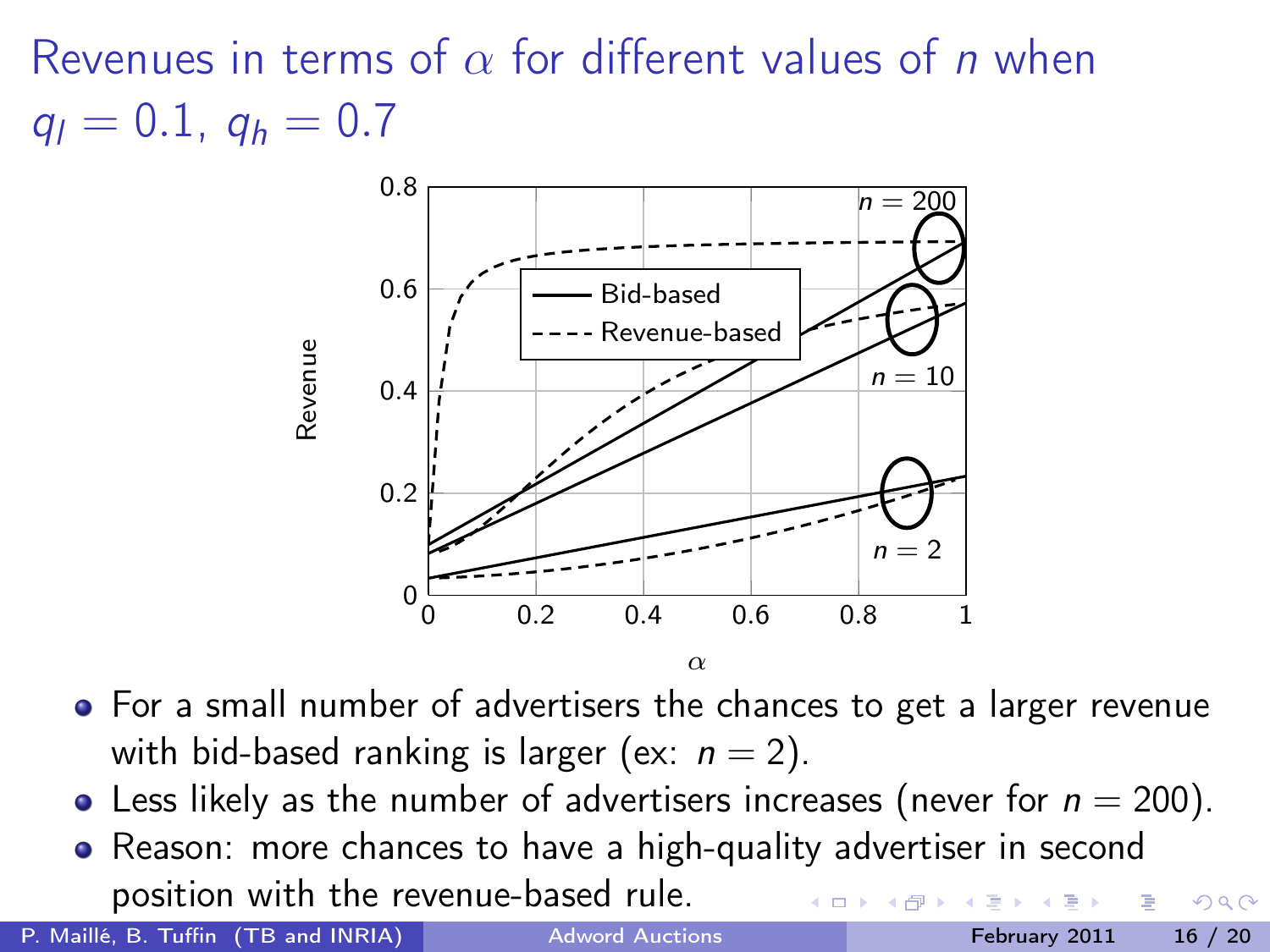Revenues in terms of  $\alpha$  for different values of *n* when  $q_l = 0.1$ ,  $q_h = 0.7$ 



- For a small number of advertisers the chances to get a larger revenue with bid-based ranking is larger (ex:  $n = 2$ ).
- Less likely as the number of advertisers increases (never for  $n = 200$ ).
- Reason: more chances to have a high-quality advertiser in second position with the revenue-based rule.

P. Maillé, B. Tuffin (TB and INRIA) [Adword Auctions](#page-0-0) February 2011 16 / 20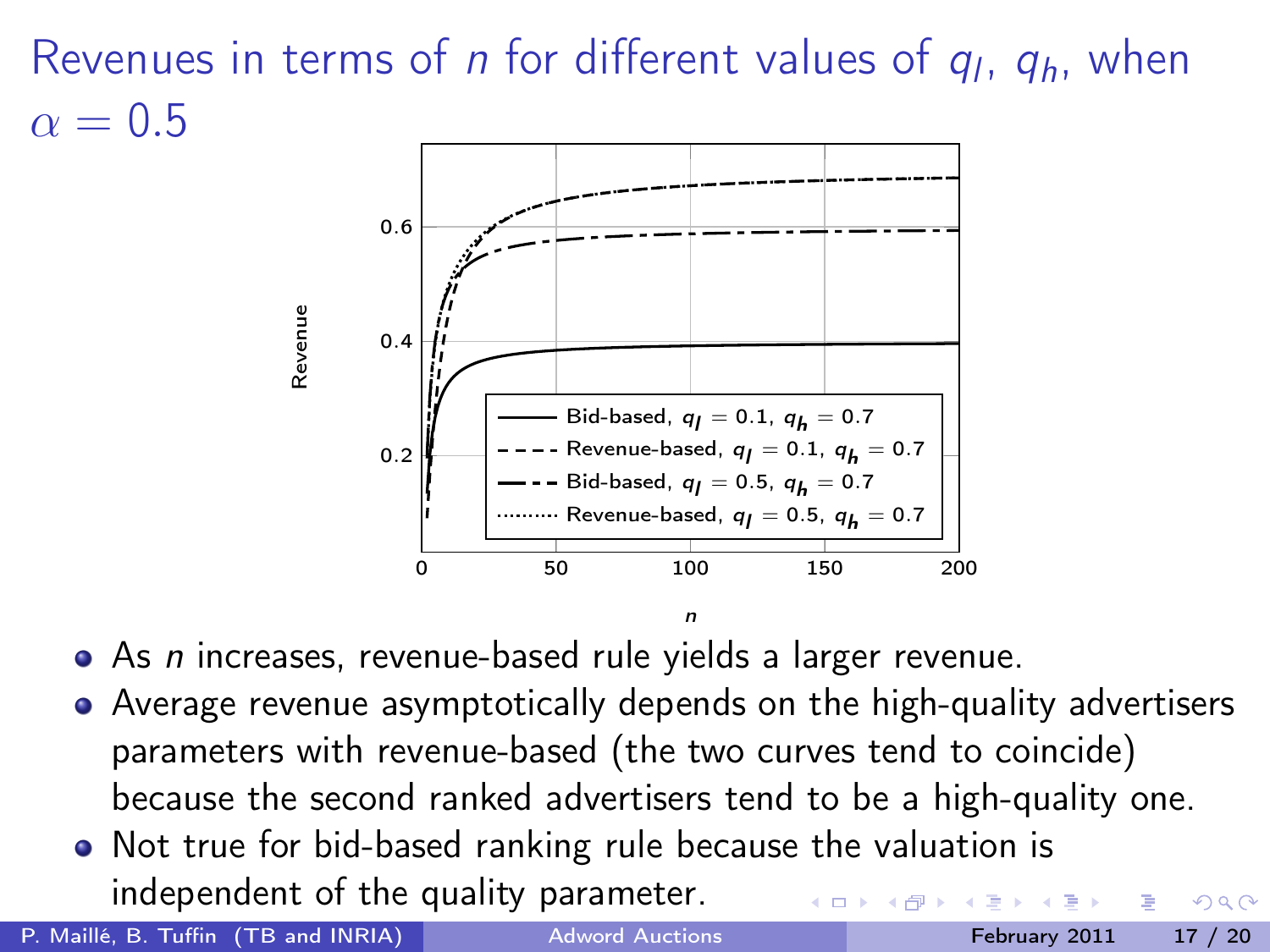# Revenues in terms of *n* for different values of  $q_l$ ,  $q_h$ , when  $\alpha = 0.5$



• As *n* increases, revenue-based rule yields a larger revenue.

Average revenue asymptotically depends on the high-quality advertisers parameters with revenue-based (the two curves tend to coincide) because the second ranked advertisers tend to be a high-quality one.

n

• Not true for bid-based ranking rule because the valuation is independent of the quality parameter.

P. Maillé, B. Tuffin (TB and INRIA) [Adword Auctions](#page-0-0) February 2011 17 / 20

<span id="page-16-0"></span>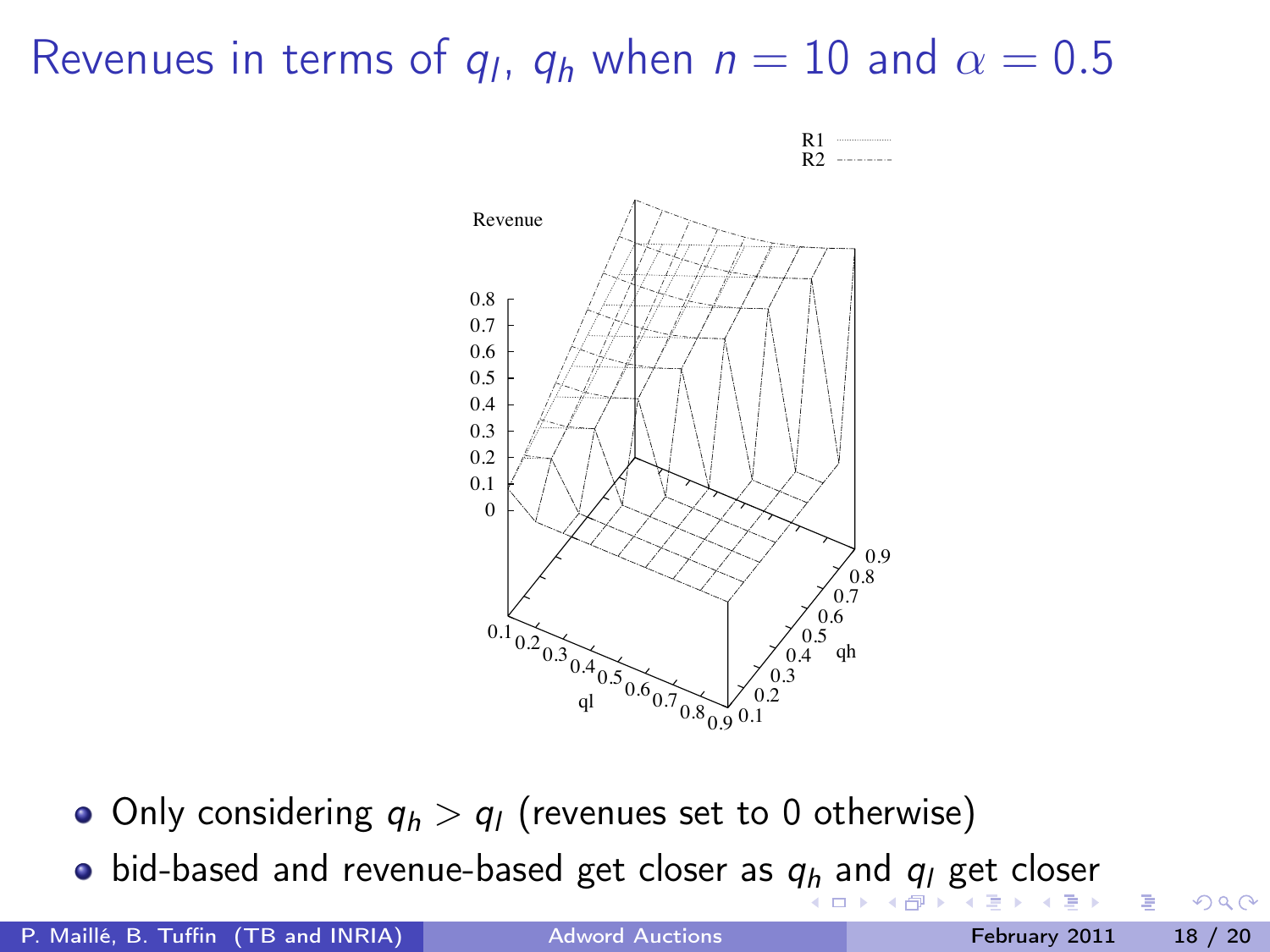# Revenues in terms of  $q_l$ ,  $q_h$  when  $n = 10$  and  $\alpha = 0.5$



<span id="page-17-0"></span> $\leftarrow$   $\Box$ 



- Only considering  $q_h > q_l$  (revenues set to 0 otherwise)
- $\bullet$  $\bullet$  $\bullet$  $\bullet$  bid-based [an](#page-18-0)[d](#page-16-0) revenue-based [ge](#page-11-0)t[cl](#page-18-0)[o](#page-11-0)[s](#page-12-0)[e](#page-17-0)[r](#page-18-0) as  $q_h$  $q_h$  and  $q_l$  $q_l$  get closer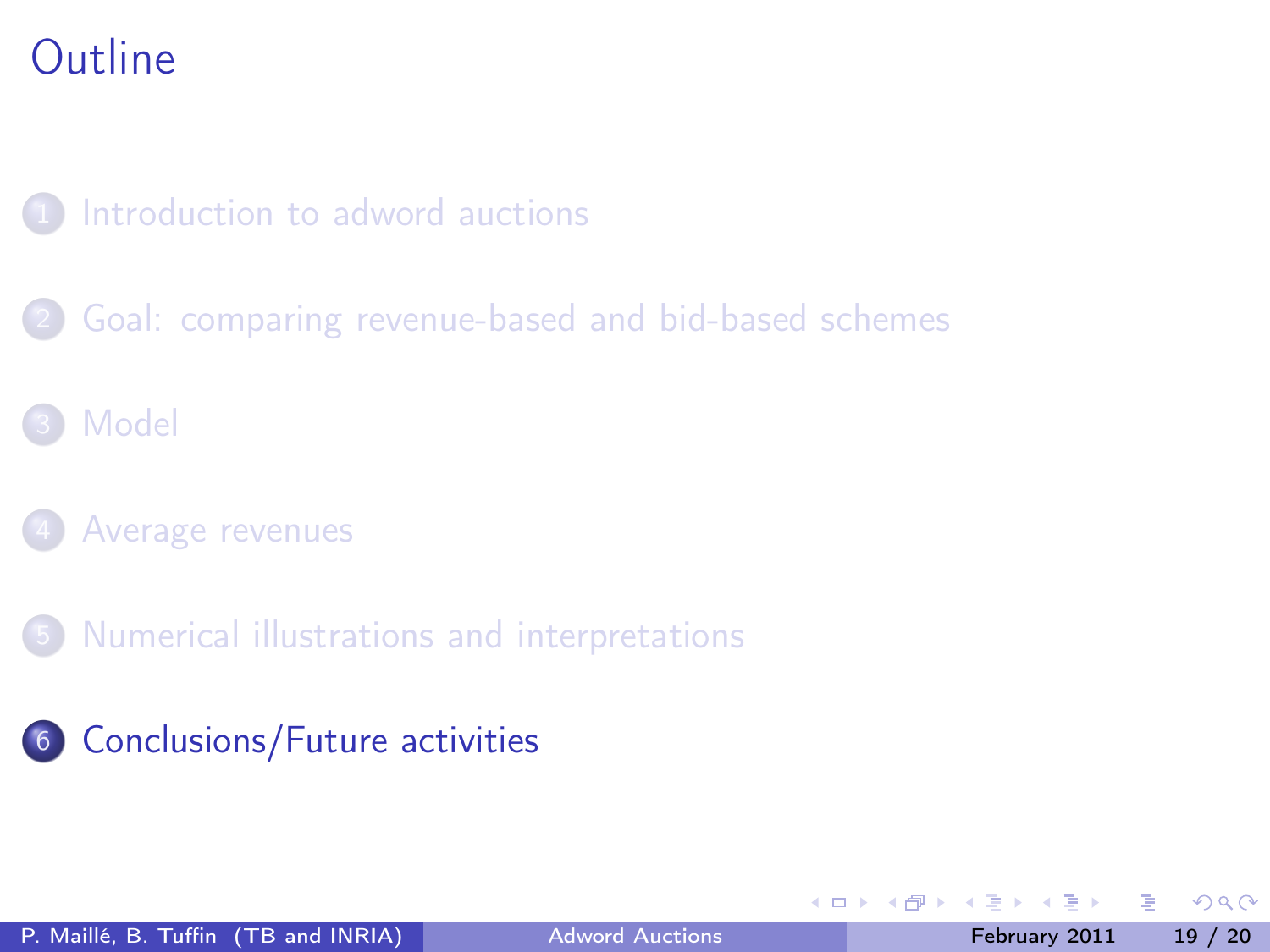### [Introduction to adword auctions](#page-2-0)

- [Goal: comparing revenue-based and bid-based schemes](#page-5-0)
- **[Model](#page-7-0)**
- [Average revenues](#page-10-0)
- 5 [Numerical illustrations and interpretations](#page-12-0)
- 6 [Conclusions/Future activities](#page-18-0)

4 0 8

← ●

<span id="page-18-0"></span> $\Omega$ 

 $\sim$